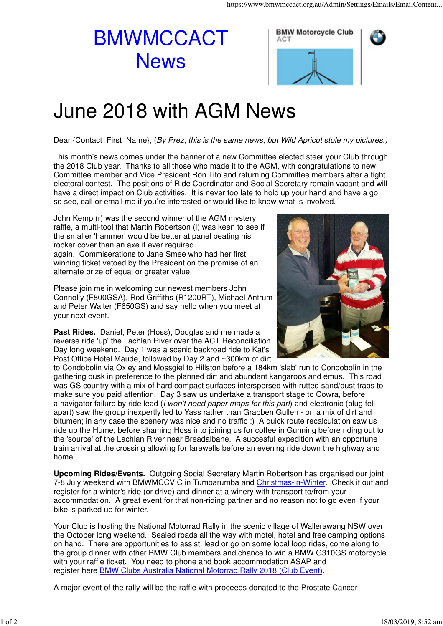## BMWMCCACT **News**



## June 2018 with AGM News

Dear {Contact\_First\_Name}, (By Prez; this is the same news, but Wild Apricot stole my pictures.)

This month's news comes under the banner of a new Committee elected steer your Club through the 2018 Club year. Thanks to all those who made it to the AGM, with congratulations to new Committee member and Vice President Ron Tito and returning Committee members after a tight electoral contest. The positions of Ride Coordinator and Social Secretary remain vacant and will have a direct impact on Club activities. It is never too late to hold up your hand and have a go, so see, call or email me if you're interested or would like to know what is involved.

John Kemp (r) was the second winner of the AGM mystery raffle, a multi-tool that Martin Robertson (l) was keen to see if the smaller 'hammer' would be better at panel beating his rocker cover than an axe if ever required again. Commiserations to Jane Smee who had her first winning ticket vetoed by the President on the promise of an alternate prize of equal or greater value.

Please join me in welcoming our newest members John Connolly (F800GSA), Rod Griffiths (R1200RT), Michael Antrum and Peter Walter (F650GS) and say hello when you meet at your next event.

**Past Rides.** Daniel, Peter (Hoss), Douglas and me made a reverse ride 'up' the Lachlan River over the ACT Reconciliation Day long weekend. Day 1 was a scenic backroad ride to Kat's Post Office Hotel Maude, followed by Day 2 and ~300km of dirt



to Condobolin via Oxley and Mossgiel to Hillston before a 184km 'slab' run to Condobolin in the gathering dusk in preference to the planned dirt and abundant kangaroos and emus. This road was GS country with a mix of hard compact surfaces interspersed with rutted sand/dust traps to make sure you paid attention. Day 3 saw us undertake a transport stage to Cowra, before a navigator failure by ride lead (I won't need paper maps for this part) and electronic (plug fell apart) saw the group inexpertly led to Yass rather than Grabben Gullen - on a mix of dirt and bitumen; in any case the scenery was nice and no traffic :) A quick route recalculation saw us ride up the Hume, before shaming Hoss into joining us for coffee in Gunning before riding out to the 'source' of the Lachlan River near Breadalbane. A succesful expedition with an opportune train arrival at the crossing allowing for farewells before an evening ride down the highway and home.

**Upcoming Rides/Events.** Outgoing Social Secretary Martin Robertson has organised our joint 7-8 July weekend with BMWMCCVIC in Tumbarumba and Christmas-in-Winter. Check it out and register for a winter's ride (or drive) and dinner at a winery with transport to/from your accommodation. A great event for that non-riding partner and no reason not to go even if your bike is parked up for winter.

Your Club is hosting the National Motorrad Rally in the scenic village of Wallerawang NSW over the October long weekend. Sealed roads all the way with motel, hotel and free camping options on hand. There are opportunities to assist, lead or go on some local loop rides, come along to the group dinner with other BMW Club members and chance to win a BMW G310GS motorcycle with your raffle ticket. You need to phone and book accommodation ASAP and register here BMW Clubs Australia National Motorrad Rally 2018 (Club Event).

A major event of the rally will be the raffle with proceeds donated to the Prostate Cancer